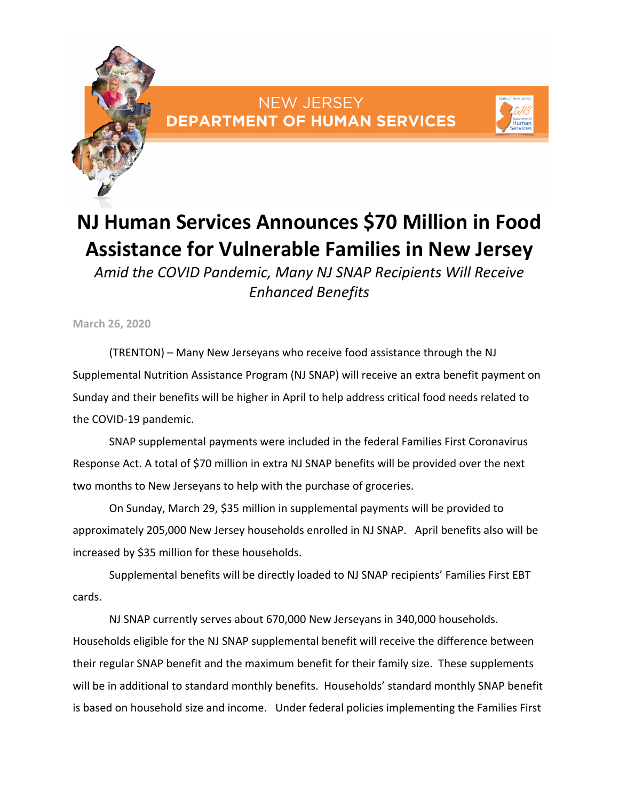

## NEW JERSEY **DEPARTMENT OF HUMAN SERVICES**



## **NJ Human Services Announces \$70 Million in Food Assistance for Vulnerable Families in New Jersey**

*Amid the COVID Pandemic, Many NJ SNAP Recipients Will Receive Enhanced Benefits* 

**March 26, 2020** 

(TRENTON) – Many New Jerseyans who receive food assistance through the NJ Supplemental Nutrition Assistance Program (NJ SNAP) will receive an extra benefit payment on Sunday and their benefits will be higher in April to help address critical food needs related to the COVID‐19 pandemic.

SNAP supplemental payments were included in the federal Families First Coronavirus Response Act. A total of \$70 million in extra NJ SNAP benefits will be provided over the next two months to New Jerseyans to help with the purchase of groceries.

On Sunday, March 29, \$35 million in supplemental payments will be provided to approximately 205,000 New Jersey households enrolled in NJ SNAP. April benefits also will be increased by \$35 million for these households.

Supplemental benefits will be directly loaded to NJ SNAP recipients' Families First EBT cards.

NJ SNAP currently serves about 670,000 New Jerseyans in 340,000 households. Households eligible for the NJ SNAP supplemental benefit will receive the difference between their regular SNAP benefit and the maximum benefit for their family size. These supplements will be in additional to standard monthly benefits. Households' standard monthly SNAP benefit is based on household size and income. Under federal policies implementing the Families First